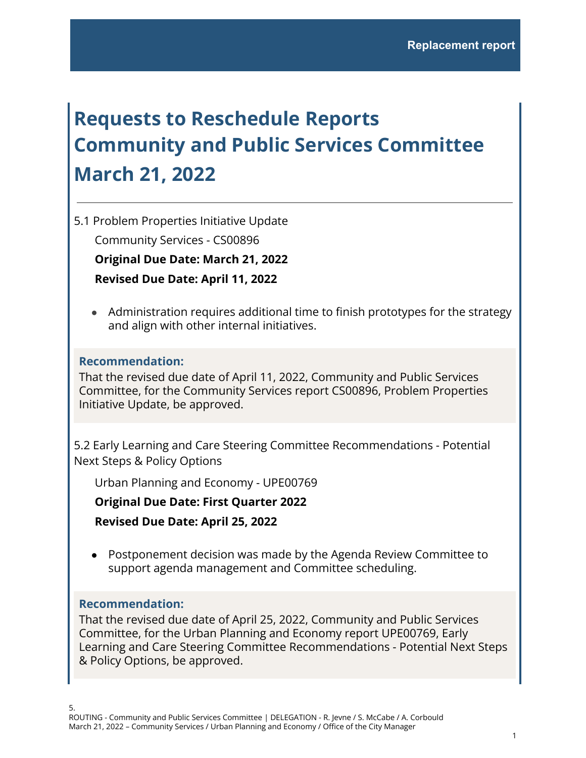# **Requests to Reschedule Reports Community and Public Services Committee March 21, 2022**

5.1 Problem Properties Initiative Update

Community Services - CS00896

**Original Due Date: March 21, 2022**

**Revised Due Date: April 11, 2022**

● Administration requires additional time to finish prototypes for the strategy and align with other internal initiatives.

### **Recommendation:**

That the revised due date of April 11, 2022, Community and Public Services Committee, for the Community Services report CS00896, Problem Properties Initiative Update, be approved.

5.2 Early Learning and Care Steering Committee Recommendations - Potential Next Steps & Policy Options

Urban Planning and Economy - UPE00769

**Original Due Date: First Quarter 2022**

**Revised Due Date: April 25, 2022**

● Postponement decision was made by the Agenda Review Committee to support agenda management and Committee scheduling.

#### **Recommendation:**

That the revised due date of April 25, 2022, Community and Public Services Committee, for the Urban Planning and Economy report UPE00769, Early Learning and Care Steering Committee Recommendations - Potential Next Steps & Policy Options, be approved.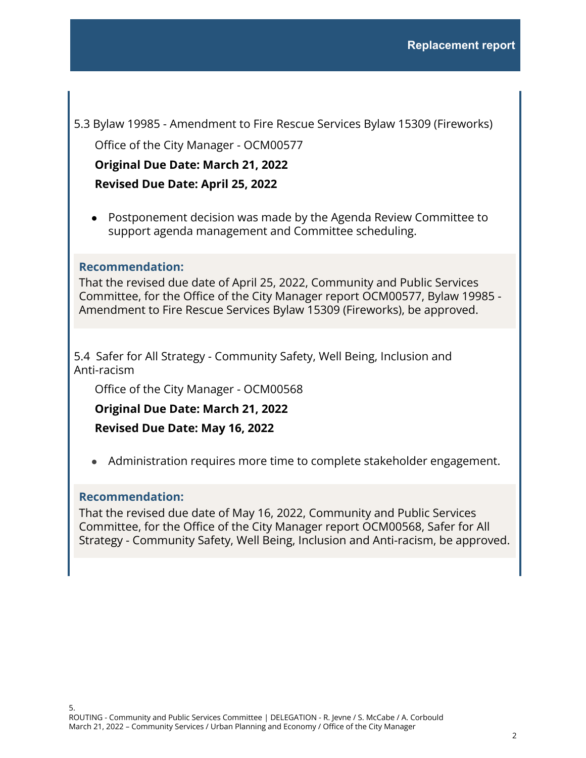5.3 Bylaw 19985 - Amendment to Fire Rescue Services Bylaw 15309 (Fireworks)

Office of the City Manager - OCM00577

**Original Due Date: March 21, 2022**

**Revised Due Date: April 25, 2022**

● Postponement decision was made by the Agenda Review Committee to support agenda management and Committee scheduling.

## **Recommendation:**

That the revised due date of April 25, 2022, Community and Public Services Committee, for the Office of the City Manager report OCM00577, Bylaw 19985 - Amendment to Fire Rescue Services Bylaw 15309 (Fireworks), be approved.

5.4 Safer for All Strategy - Community Safety, Well Being, Inclusion and Anti-racism

Office of the City Manager - OCM00568

**Original Due Date: March 21, 2022**

**Revised Due Date: May 16, 2022**

● Administration requires more time to complete stakeholder engagement.

#### **Recommendation:**

That the revised due date of May 16, 2022, Community and Public Services Committee, for the Office of the City Manager report OCM00568, Safer for All Strategy - Community Safety, Well Being, Inclusion and Anti-racism, be approved.